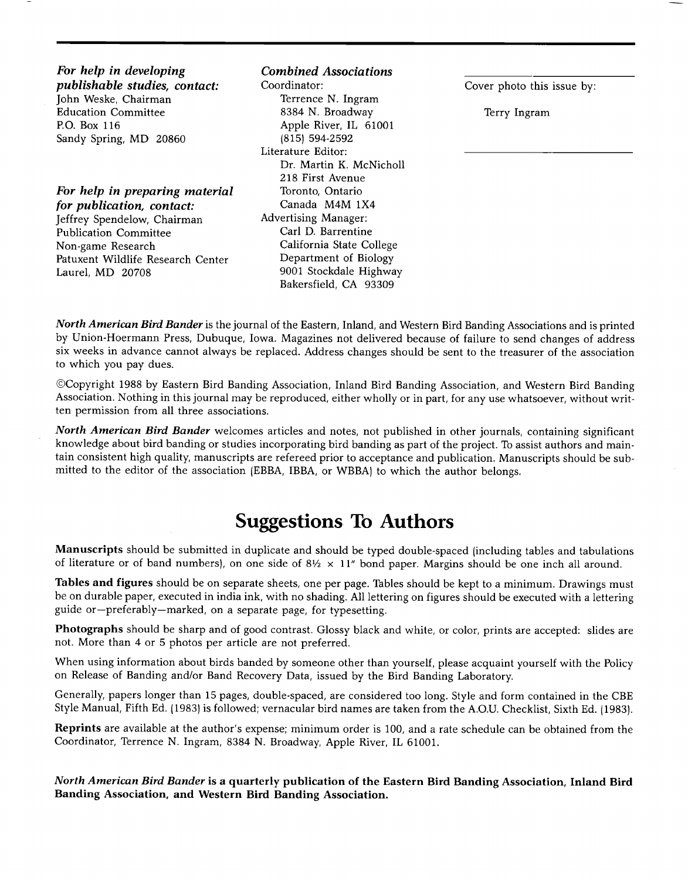**For help in developing publishable studies, contact: John Weske, Chairman Education Committee EO. Box 116 Sandy Spring, MD 20860** 

**For help in preparing material for publication, contact: Jeffrey Spendelow, Chairman Publication Committee Non-game Research Patuxent Wildlife Research Center Laurel, MD 20708** 

### **Combined Associations**

**Coordinator: Terrence N. Ingram 8384 N. Broadway Apple River, IL 61001 (815) 594-2592 Literature Editor: Dr. Martin K. McNicholl 218 First Avenue Toronto, Ontario Canada M4M 1X4 Advertising Manager: Carl D. Barrentine California State College Department of Biology 9001 Stockdale Highway Bakersfield, CA 93309** 

**Cover photo this issue by:** 

**Terry Ingram** 

**North American Bird Bander is the journal of the Eastern, Inland, and Western Bird Banding Associations and is printed by Union-Hoermann Press, Dubuque, Iowa. Magazines not delivered because of failure to send changes of address six weeks in advance cannot always be replaced. Address changes should be sent to the treasurer of the association to which you pay dues.** 

**¸Copyright 1988 by Eastern Bird Banding Association, Inland Bird Banding Association, and Western Bird Banding Association. Nothing in this journal may be reproduced, either wholly or in part, for any use whatsoever, without written permission from all three associations.** 

**North American Bird Bander welcomes articles and notes, not published in other journals, containing significant knowledge about bird banding or studies incorporating bird banding as part of the project. To assist authors and main**tain consistent high quality, manuscripts are refereed prior to acceptance and publication. Manuscripts should be submitted to the editor of the association (EBBA, IBBA, or WBBA) to which the author belongs.

## **Suggestions To Authors**

**Manuscripts should be submitted in duplicate and should be typed double-spaced (including tables and tabulations**  of literature or of band numbers), on one side of 8½ × 11" bond paper. Margins should be one inch all around.

**Tables and figures should be on separate sheets, one per page. Tables should be kept to a minimum. Drawings must be on durable paper, executed in india ink, with no shading. All lettering on figures should be executed with a lettering guide or--preferably--marked, on a separate page, for typesetting.** 

**Photographs should be sharp and of good contrast. Glossy black and white, or color, prints are accepted: slides are not. More than 4 or 5 photos per article are not preferred.** 

**When using information about birds banded by someone other than yourself, please acquaint yourself with the Policy on Release of Banding and/or Band Recovery Data, issued by the Bird Banding Laboratory.** 

**Generally, papers longer than 15 pages, double-spaced, are considered too long. Style and form contained in the CBE Style Manual, Fifth Ed. (1983) is followed; vernacular bird names are taken from the A.O.U. Checklist, Sixth Ed. (1983).** 

**Reprints are available at the author's expense; minimum order is 100, and a rate schedule can be obtained from the Coordinator, Terrence N. Ingram, 8384 N. Broadway, Apple River, IL 61001.** 

**North American Bird Bander is a quarterly publication of the Eastern Bird Banding Association, Inland Bird Banding Association, and Western Bird Banding Association.**